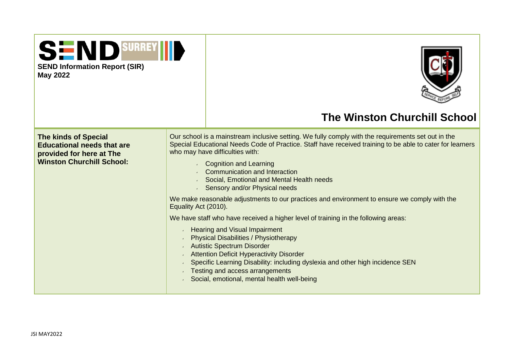| <b>SEND Information Report (SIR)</b><br><b>May 2022</b>                                                                          |                      | <b>The Winston Churchill School</b>                                                                                                                                                                                                                                                                                                                                                                                                                                                                                                                                                                                                                                                                                                                                                                                                                                                                                           |
|----------------------------------------------------------------------------------------------------------------------------------|----------------------|-------------------------------------------------------------------------------------------------------------------------------------------------------------------------------------------------------------------------------------------------------------------------------------------------------------------------------------------------------------------------------------------------------------------------------------------------------------------------------------------------------------------------------------------------------------------------------------------------------------------------------------------------------------------------------------------------------------------------------------------------------------------------------------------------------------------------------------------------------------------------------------------------------------------------------|
| <b>The kinds of Special</b><br><b>Educational needs that are</b><br>provided for here at The<br><b>Winston Churchill School:</b> | Equality Act (2010). | Our school is a mainstream inclusive setting. We fully comply with the requirements set out in the<br>Special Educational Needs Code of Practice. Staff have received training to be able to cater for learners<br>who may have difficulties with:<br><b>Cognition and Learning</b><br>Communication and Interaction<br>Social, Emotional and Mental Health needs<br>Sensory and/or Physical needs<br>We make reasonable adjustments to our practices and environment to ensure we comply with the<br>We have staff who have received a higher level of training in the following areas:<br>Exteeling and Visual Impairment<br><b>Physical Disabilities / Physiotherapy</b><br>Autistic Spectrum Disorder<br>Attention Deficit Hyperactivity Disorder<br>Specific Learning Disability: including dyslexia and other high incidence SEN<br>Fig. Testing and access arrangements<br>Social, emotional, mental health well-being |

 $\overline{a}$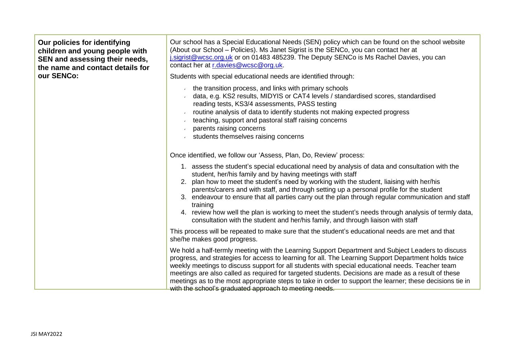| Our policies for identifying<br>children and young people with<br>SEN and assessing their needs,<br>the name and contact details for<br>our SENCo: | Our school has a Special Educational Needs (SEN) policy which can be found on the school website<br>(About our School – Policies). Ms Janet Sigrist is the SENCo, you can contact her at<br>j.sigrist@wcsc.org.uk or on 01483 485239. The Deputy SENCo is Ms Rachel Davies, you can<br>contact her at r.davies@wcsc@org.uk.<br>Students with special educational needs are identified through:                                                                                                                                                                                                                                                                    |
|----------------------------------------------------------------------------------------------------------------------------------------------------|-------------------------------------------------------------------------------------------------------------------------------------------------------------------------------------------------------------------------------------------------------------------------------------------------------------------------------------------------------------------------------------------------------------------------------------------------------------------------------------------------------------------------------------------------------------------------------------------------------------------------------------------------------------------|
|                                                                                                                                                    | the transition process, and links with primary schools<br>data, e.g. KS2 results, MIDYIS or CAT4 levels / standardised scores, standardised<br>reading tests, KS3/4 assessments, PASS testing<br>routine analysis of data to identify students not making expected progress<br>teaching, support and pastoral staff raising concerns<br>parents raising concerns<br>students themselves raising concerns                                                                                                                                                                                                                                                          |
|                                                                                                                                                    | Once identified, we follow our 'Assess, Plan, Do, Review' process:                                                                                                                                                                                                                                                                                                                                                                                                                                                                                                                                                                                                |
|                                                                                                                                                    | 1. assess the student's special educational need by analysis of data and consultation with the<br>student, her/his family and by having meetings with staff<br>2. plan how to meet the student's need by working with the student, liaising with her/his<br>parents/carers and with staff, and through setting up a personal profile for the student<br>3. endeavour to ensure that all parties carry out the plan through regular communication and staff<br>training<br>4. review how well the plan is working to meet the student's needs through analysis of termly data,<br>consultation with the student and her/his family, and through liaison with staff |
|                                                                                                                                                    | This process will be repeated to make sure that the student's educational needs are met and that<br>she/he makes good progress.                                                                                                                                                                                                                                                                                                                                                                                                                                                                                                                                   |
|                                                                                                                                                    | We hold a half-termly meeting with the Learning Support Department and Subject Leaders to discuss<br>progress, and strategies for access to learning for all. The Learning Support Department holds twice<br>weekly meetings to discuss support for all students with special educational needs. Teacher team<br>meetings are also called as required for targeted students. Decisions are made as a result of these<br>meetings as to the most appropriate steps to take in order to support the learner; these decisions tie in<br>with the school's graduated approach to meeting needs.                                                                       |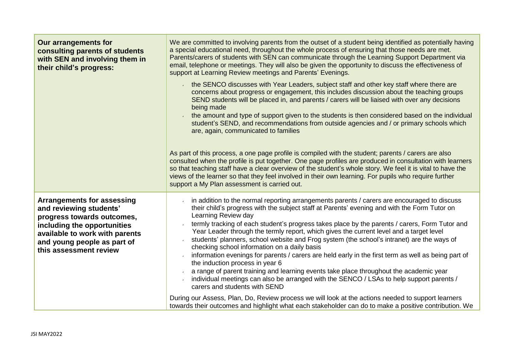| Our arrangements for<br>consulting parents of students<br>with SEN and involving them in<br>their child's progress:                                                                                                  | We are committed to involving parents from the outset of a student being identified as potentially having<br>a special educational need, throughout the whole process of ensuring that those needs are met.<br>Parents/carers of students with SEN can communicate through the Learning Support Department via<br>email, telephone or meetings. They will also be given the opportunity to discuss the effectiveness of<br>support at Learning Review meetings and Parents' Evenings.<br>the SENCO discusses with Year Leaders, subject staff and other key staff where there are<br>concerns about progress or engagement, this includes discussion about the teaching groups<br>SEND students will be placed in, and parents / carers will be liaised with over any decisions<br>being made<br>the amount and type of support given to the students is then considered based on the individual<br>student's SEND, and recommendations from outside agencies and / or primary schools which<br>are, again, communicated to families<br>As part of this process, a one page profile is compiled with the student; parents / carers are also<br>consulted when the profile is put together. One page profiles are produced in consultation with learners<br>so that teaching staff have a clear overview of the student's whole story. We feel it is vital to have the<br>views of the learner so that they feel involved in their own learning. For pupils who require further<br>support a My Plan assessment is carried out. |
|----------------------------------------------------------------------------------------------------------------------------------------------------------------------------------------------------------------------|--------------------------------------------------------------------------------------------------------------------------------------------------------------------------------------------------------------------------------------------------------------------------------------------------------------------------------------------------------------------------------------------------------------------------------------------------------------------------------------------------------------------------------------------------------------------------------------------------------------------------------------------------------------------------------------------------------------------------------------------------------------------------------------------------------------------------------------------------------------------------------------------------------------------------------------------------------------------------------------------------------------------------------------------------------------------------------------------------------------------------------------------------------------------------------------------------------------------------------------------------------------------------------------------------------------------------------------------------------------------------------------------------------------------------------------------------------------------------------------------------------------------------------|
| <b>Arrangements for assessing</b><br>and reviewing students'<br>progress towards outcomes,<br>including the opportunities<br>available to work with parents<br>and young people as part of<br>this assessment review | in addition to the normal reporting arrangements parents / carers are encouraged to discuss<br>their child's progress with the subject staff at Parents' evening and with the Form Tutor on<br>Learning Review day<br>termly tracking of each student's progress takes place by the parents / carers, Form Tutor and<br>Year Leader through the termly report, which gives the current level and a target level<br>students' planners, school website and Frog system (the school's intranet) are the ways of<br>checking school information on a daily basis<br>information evenings for parents / carers are held early in the first term as well as being part of<br>the induction process in year 6<br>a range of parent training and learning events take place throughout the academic year<br>individual meetings can also be arranged with the SENCO / LSAs to help support parents /<br>carers and students with SEND<br>During our Assess, Plan, Do, Review process we will look at the actions needed to support learners<br>towards their outcomes and highlight what each stakeholder can do to make a positive contribution. We                                                                                                                                                                                                                                                                                                                                                                                  |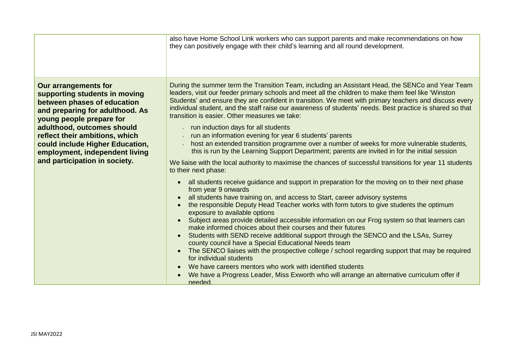|                                                                                                                                                     | also have Home School Link workers who can support parents and make recommendations on how<br>they can positively engage with their child's learning and all round development.                                                                                                                                                                                                                                                                                                                                                                                                                                                                                                                                                                                                                                                                                                                                                                                   |
|-----------------------------------------------------------------------------------------------------------------------------------------------------|-------------------------------------------------------------------------------------------------------------------------------------------------------------------------------------------------------------------------------------------------------------------------------------------------------------------------------------------------------------------------------------------------------------------------------------------------------------------------------------------------------------------------------------------------------------------------------------------------------------------------------------------------------------------------------------------------------------------------------------------------------------------------------------------------------------------------------------------------------------------------------------------------------------------------------------------------------------------|
| Our arrangements for<br>supporting students in moving<br>between phases of education<br>and preparing for adulthood. As<br>young people prepare for | During the summer term the Transition Team, including an Assistant Head, the SENCo and Year Team<br>leaders, visit our feeder primary schools and meet all the children to make them feel like 'Winston<br>Students' and ensure they are confident in transition. We meet with primary teachers and discuss every<br>individual student, and the staff raise our awareness of students' needs. Best practice is shared so that<br>transition is easier. Other measures we take:                                                                                                                                                                                                                                                                                                                                                                                                                                                                                   |
| adulthood, outcomes should<br>reflect their ambitions, which<br>could include Higher Education,<br>employment, independent living                   | run induction days for all students<br>run an information evening for year 6 students' parents<br>host an extended transition programme over a number of weeks for more vulnerable students,<br>this is run by the Learning Support Department; parents are invited in for the initial session                                                                                                                                                                                                                                                                                                                                                                                                                                                                                                                                                                                                                                                                    |
| and participation in society.                                                                                                                       | We liaise with the local authority to maximise the chances of successful transitions for year 11 students<br>to their next phase:                                                                                                                                                                                                                                                                                                                                                                                                                                                                                                                                                                                                                                                                                                                                                                                                                                 |
|                                                                                                                                                     | all students receive guidance and support in preparation for the moving on to their next phase<br>from year 9 onwards<br>all students have training on, and access to Start, career advisory systems<br>the responsible Deputy Head Teacher works with form tutors to give students the optimum<br>exposure to available options<br>Subject areas provide detailed accessible information on our Frog system so that learners can<br>make informed choices about their courses and their futures<br>Students with SEND receive additional support through the SENCO and the LSAs, Surrey<br>county council have a Special Educational Needs team<br>The SENCO liaises with the prospective college / school regarding support that may be required<br>$\bullet$<br>for individual students<br>We have careers mentors who work with identified students<br>We have a Progress Leader, Miss Exworth who will arrange an alternative curriculum offer if<br>needed. |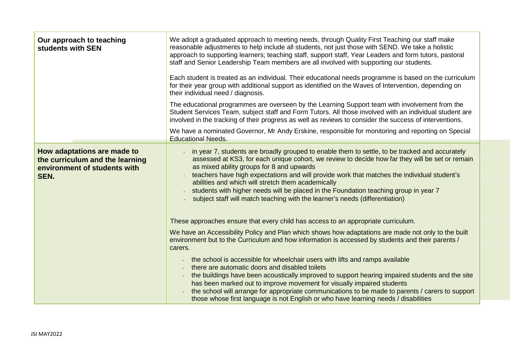| Our approach to teaching<br>students with SEN                                                          | We adopt a graduated approach to meeting needs, through Quality First Teaching our staff make<br>reasonable adjustments to help include all students, not just those with SEND. We take a holistic<br>approach to supporting learners; teaching staff, support staff, Year Leaders and form tutors, pastoral<br>staff and Senior Leadership Team members are all involved with supporting our students.<br>Each student is treated as an individual. Their educational needs programme is based on the curriculum<br>for their year group with additional support as identified on the Waves of Intervention, depending on<br>their individual need / diagnosis.<br>The educational programmes are overseen by the Learning Support team with involvement from the<br>Student Services Team, subject staff and Form Tutors. All those involved with an individual student are<br>involved in the tracking of their progress as well as reviews to consider the success of interventions. |
|--------------------------------------------------------------------------------------------------------|------------------------------------------------------------------------------------------------------------------------------------------------------------------------------------------------------------------------------------------------------------------------------------------------------------------------------------------------------------------------------------------------------------------------------------------------------------------------------------------------------------------------------------------------------------------------------------------------------------------------------------------------------------------------------------------------------------------------------------------------------------------------------------------------------------------------------------------------------------------------------------------------------------------------------------------------------------------------------------------|
|                                                                                                        | We have a nominated Governor, Mr Andy Erskine, responsible for monitoring and reporting on Special<br><b>Educational Needs.</b>                                                                                                                                                                                                                                                                                                                                                                                                                                                                                                                                                                                                                                                                                                                                                                                                                                                          |
| How adaptations are made to<br>the curriculum and the learning<br>environment of students with<br>SEN. | in year 7, students are broadly grouped to enable them to settle, to be tracked and accurately<br>assessed at KS3, for each unique cohort, we review to decide how far they will be set or remain<br>as mixed ability groups for 8 and upwards<br>teachers have high expectations and will provide work that matches the individual student's<br>abilities and which will stretch them academically<br>students with higher needs will be placed in the Foundation teaching group in year 7<br>subject staff will match teaching with the learner's needs (differentiation)                                                                                                                                                                                                                                                                                                                                                                                                              |
|                                                                                                        | These approaches ensure that every child has access to an appropriate curriculum.                                                                                                                                                                                                                                                                                                                                                                                                                                                                                                                                                                                                                                                                                                                                                                                                                                                                                                        |
|                                                                                                        | We have an Accessibility Policy and Plan which shows how adaptations are made not only to the built<br>environment but to the Curriculum and how information is accessed by students and their parents /<br>carers.                                                                                                                                                                                                                                                                                                                                                                                                                                                                                                                                                                                                                                                                                                                                                                      |
|                                                                                                        | the school is accessible for wheelchair users with lifts and ramps available<br>there are automatic doors and disabled toilets<br>the buildings have been acoustically improved to support hearing impaired students and the site<br>has been marked out to improve movement for visually impaired students<br>the school will arrange for appropriate communications to be made to parents / carers to support<br>those whose first language is not English or who have learning needs / disabilities                                                                                                                                                                                                                                                                                                                                                                                                                                                                                   |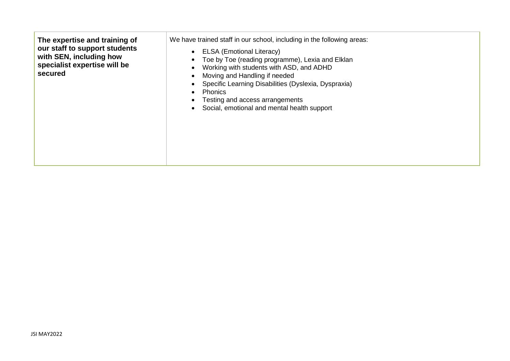**The expertise and training of our staff to support students with SEN, including how specialist expertise will be secured**

We have trained staff in our school, including in the following areas:

- ELSA (Emotional Literacy)
- Toe by Toe (reading programme), Lexia and Elklan
- Working with students with ASD, and ADHD
- Moving and Handling if needed
- Specific Learning Disabilities (Dyslexia, Dyspraxia)
- **Phonics**
- Testing and access arrangements
- Social, emotional and mental health support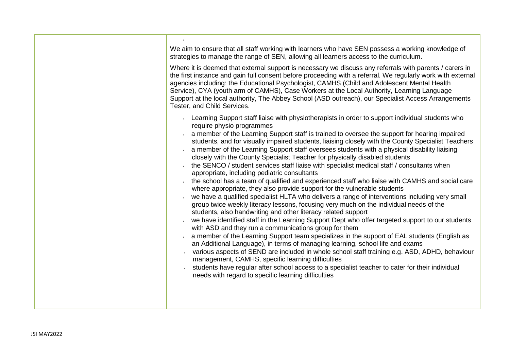| We aim to ensure that all staff working with learners who have SEN possess a working knowledge of<br>strategies to manage the range of SEN, allowing all learners access to the curriculum.<br>Where it is deemed that external support is necessary we discuss any referrals with parents / carers in<br>the first instance and gain full consent before proceeding with a referral. We regularly work with external<br>agencies including: the Educational Psychologist, CAMHS (Child and Adolescent Mental Health<br>Service), CYA (youth arm of CAMHS), Case Workers at the Local Authority, Learning Language<br>Support at the local authority, The Abbey School (ASD outreach), our Specialist Access Arrangements<br>Tester, and Child Services.                                                                                                                                                                                                                                                                                                                                                                                                                                                                                                                                                                                                                                                                                                                                                                                                                                                                                                                                                                                                                  |
|---------------------------------------------------------------------------------------------------------------------------------------------------------------------------------------------------------------------------------------------------------------------------------------------------------------------------------------------------------------------------------------------------------------------------------------------------------------------------------------------------------------------------------------------------------------------------------------------------------------------------------------------------------------------------------------------------------------------------------------------------------------------------------------------------------------------------------------------------------------------------------------------------------------------------------------------------------------------------------------------------------------------------------------------------------------------------------------------------------------------------------------------------------------------------------------------------------------------------------------------------------------------------------------------------------------------------------------------------------------------------------------------------------------------------------------------------------------------------------------------------------------------------------------------------------------------------------------------------------------------------------------------------------------------------------------------------------------------------------------------------------------------------|
| Learning Support staff liaise with physiotherapists in order to support individual students who<br>require physio programmes<br>a member of the Learning Support staff is trained to oversee the support for hearing impaired<br>students, and for visually impaired students, liaising closely with the County Specialist Teachers<br>a member of the Learning Support staff oversees students with a physical disability liaising<br>closely with the County Specialist Teacher for physically disabled students<br>the SENCO / student services staff liaise with specialist medical staff / consultants when<br>appropriate, including pediatric consultants<br>the school has a team of qualified and experienced staff who liaise with CAMHS and social care<br>where appropriate, they also provide support for the vulnerable students<br>we have a qualified specialist HLTA who delivers a range of interventions including very small<br>group twice weekly literacy lessons, focusing very much on the individual needs of the<br>students, also handwriting and other literacy related support<br>we have identified staff in the Learning Support Dept who offer targeted support to our students<br>with ASD and they run a communications group for them<br>a member of the Learning Support team specializes in the support of EAL students (English as<br>an Additional Language), in terms of managing learning, school life and exams<br>various aspects of SEND are included in whole school staff training e.g. ASD, ADHD, behaviour<br>management, CAMHS, specific learning difficulties<br>students have regular after school access to a specialist teacher to cater for their individual<br>needs with regard to specific learning difficulties |
|                                                                                                                                                                                                                                                                                                                                                                                                                                                                                                                                                                                                                                                                                                                                                                                                                                                                                                                                                                                                                                                                                                                                                                                                                                                                                                                                                                                                                                                                                                                                                                                                                                                                                                                                                                           |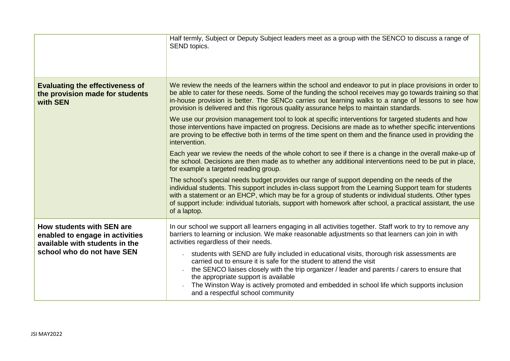|                                                                                                | Half termly, Subject or Deputy Subject leaders meet as a group with the SENCO to discuss a range of<br>SEND topics.                                                                                                                                                                                                                                                                                                                               |
|------------------------------------------------------------------------------------------------|---------------------------------------------------------------------------------------------------------------------------------------------------------------------------------------------------------------------------------------------------------------------------------------------------------------------------------------------------------------------------------------------------------------------------------------------------|
| <b>Evaluating the effectiveness of</b><br>the provision made for students<br>with <b>SEN</b>   | We review the needs of the learners within the school and endeavor to put in place provisions in order to<br>be able to cater for these needs. Some of the funding the school receives may go towards training so that<br>in-house provision is better. The SENCo carries out learning walks to a range of lessons to see how<br>provision is delivered and this rigorous quality assurance helps to maintain standards.                          |
|                                                                                                | We use our provision management tool to look at specific interventions for targeted students and how<br>those interventions have impacted on progress. Decisions are made as to whether specific interventions<br>are proving to be effective both in terms of the time spent on them and the finance used in providing the<br>intervention.                                                                                                      |
|                                                                                                | Each year we review the needs of the whole cohort to see if there is a change in the overall make-up of<br>the school. Decisions are then made as to whether any additional interventions need to be put in place,<br>for example a targeted reading group.                                                                                                                                                                                       |
|                                                                                                | The school's special needs budget provides our range of support depending on the needs of the<br>individual students. This support includes in-class support from the Learning Support team for students<br>with a statement or an EHCP, which may be for a group of students or individual students. Other types<br>of support include: individual tutorials, support with homework after school, a practical assistant, the use<br>of a laptop. |
| How students with SEN are<br>enabled to engage in activities<br>available with students in the | In our school we support all learners engaging in all activities together. Staff work to try to remove any<br>barriers to learning or inclusion. We make reasonable adjustments so that learners can join in with<br>activities regardless of their needs.                                                                                                                                                                                        |
| school who do not have SEN                                                                     | students with SEND are fully included in educational visits, thorough risk assessments are<br>carried out to ensure it is safe for the student to attend the visit<br>the SENCO liaises closely with the trip organizer / leader and parents / carers to ensure that<br>the appropriate support is available<br>The Winston Way is actively promoted and embedded in school life which supports inclusion<br>and a respectful school community    |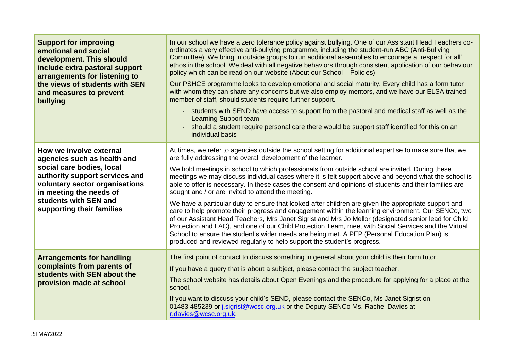| <b>Support for improving</b><br>emotional and social<br>development. This should<br>include extra pastoral support<br>arrangements for listening to<br>the views of students with SEN<br>and measures to prevent<br>bullying             | In our school we have a zero tolerance policy against bullying. One of our Assistant Head Teachers co-<br>ordinates a very effective anti-bullying programme, including the student-run ABC (Anti-Bullying<br>Committee). We bring in outside groups to run additional assemblies to encourage a 'respect for all'<br>ethos in the school. We deal with all negative behaviors through consistent application of our behaviour<br>policy which can be read on our website (About our School - Policies).<br>Our PSHCE programme looks to develop emotional and social maturity. Every child has a form tutor<br>with whom they can share any concerns but we also employ mentors, and we have our ELSA trained<br>member of staff, should students require further support.<br>students with SEND have access to support from the pastoral and medical staff as well as the<br><b>Learning Support team</b><br>should a student require personal care there would be support staff identified for this on an<br>individual basis                                                                                                                              |
|------------------------------------------------------------------------------------------------------------------------------------------------------------------------------------------------------------------------------------------|---------------------------------------------------------------------------------------------------------------------------------------------------------------------------------------------------------------------------------------------------------------------------------------------------------------------------------------------------------------------------------------------------------------------------------------------------------------------------------------------------------------------------------------------------------------------------------------------------------------------------------------------------------------------------------------------------------------------------------------------------------------------------------------------------------------------------------------------------------------------------------------------------------------------------------------------------------------------------------------------------------------------------------------------------------------------------------------------------------------------------------------------------------------|
| How we involve external<br>agencies such as health and<br>social care bodies, local<br>authority support services and<br>voluntary sector organisations<br>in meeting the needs of<br>students with SEN and<br>supporting their families | At times, we refer to agencies outside the school setting for additional expertise to make sure that we<br>are fully addressing the overall development of the learner.<br>We hold meetings in school to which professionals from outside school are invited. During these<br>meetings we may discuss individual cases where it is felt support above and beyond what the school is<br>able to offer is necessary. In these cases the consent and opinions of students and their families are<br>sought and / or are invited to attend the meeting.<br>We have a particular duty to ensure that looked-after children are given the appropriate support and<br>care to help promote their progress and engagement within the learning environment. Our SENCo, two<br>of our Assistant Head Teachers, Mrs Janet Sigrist and Mrs Jo Mellor (designated senior lead for Child<br>Protection and LAC), and one of our Child Protection Team, meet with Social Services and the Virtual<br>School to ensure the student's wider needs are being met. A PEP (Personal Education Plan) is<br>produced and reviewed regularly to help support the student's progress. |
| <b>Arrangements for handling</b><br>complaints from parents of<br>students with SEN about the<br>provision made at school                                                                                                                | The first point of contact to discuss something in general about your child is their form tutor.<br>If you have a query that is about a subject, please contact the subject teacher.<br>The school website has details about Open Evenings and the procedure for applying for a place at the<br>school.<br>If you want to discuss your child's SEND, please contact the SENCo, Ms Janet Sigrist on<br>01483 485239 or j.sigrist@wcsc.org.uk or the Deputy SENCo Ms. Rachel Davies at<br>r.davies@wcsc.org.uk.                                                                                                                                                                                                                                                                                                                                                                                                                                                                                                                                                                                                                                                 |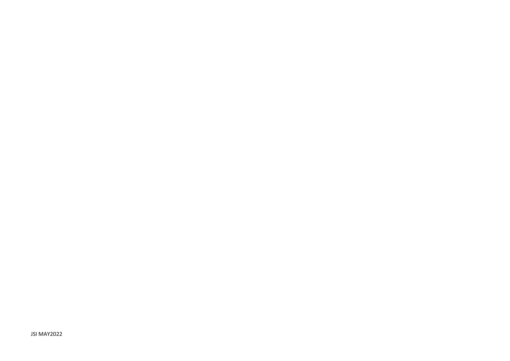## JSI MAY2022